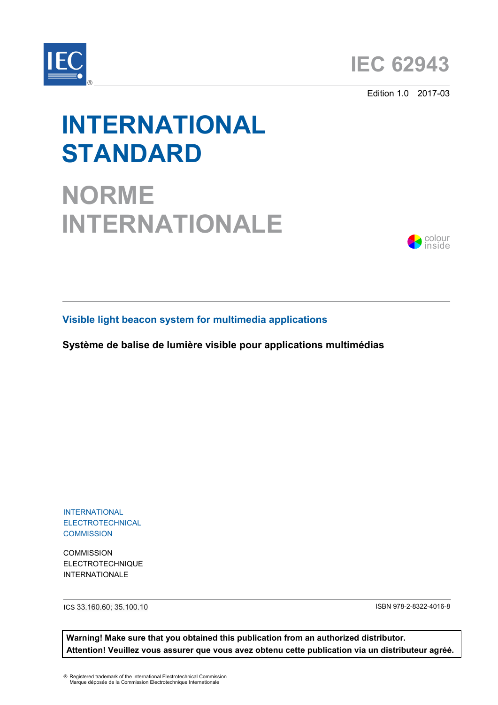



Edition 1.0 2017-03

# **INTERNATIONAL STANDARD**

**NORME INTERNATIONALE**



**Visible light beacon system for multimedia applications**

**Système de balise de lumière visible pour applications multimédias**

INTERNATIONAL **ELECTROTECHNICAL COMMISSION** 

**COMMISSION** ELECTROTECHNIQUE INTERNATIONALE

ICS 33.160.60; 35.100.10 ISBN 978-2-8322-4016-8

**Warning! Make sure that you obtained this publication from an authorized distributor. Attention! Veuillez vous assurer que vous avez obtenu cette publication via un distributeur agréé.**

® Registered trademark of the International Electrotechnical Commission Marque déposée de la Commission Electrotechnique Internationale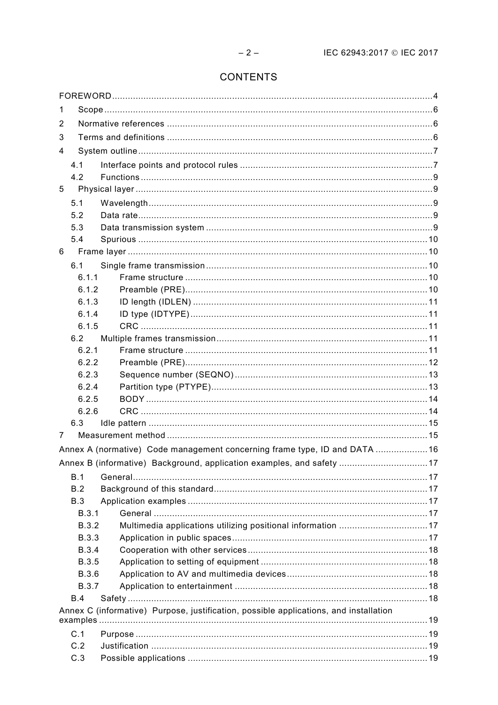# **CONTENTS**

| 1              |                                                                                       |  |
|----------------|---------------------------------------------------------------------------------------|--|
| $\overline{2}$ |                                                                                       |  |
| 3              |                                                                                       |  |
| 4              |                                                                                       |  |
| 4.1            |                                                                                       |  |
| 4.2            |                                                                                       |  |
| 5              |                                                                                       |  |
| 5.1            |                                                                                       |  |
| 5.2            |                                                                                       |  |
| 5.3            |                                                                                       |  |
| 5.4            |                                                                                       |  |
| 6              |                                                                                       |  |
| 6.1            |                                                                                       |  |
| 6.1.1          |                                                                                       |  |
| 6.1.2          |                                                                                       |  |
| 6.1.3          |                                                                                       |  |
| 6.1.4          |                                                                                       |  |
| 6.1.5          |                                                                                       |  |
| 6.2            |                                                                                       |  |
| 6.2.1          |                                                                                       |  |
| 6.2.2          |                                                                                       |  |
| 6.2.3          |                                                                                       |  |
| 6.2.4          |                                                                                       |  |
| 6.2.5          |                                                                                       |  |
| 6.2.6          |                                                                                       |  |
| 6.3            |                                                                                       |  |
| 7              |                                                                                       |  |
|                | Annex A (normative) Code management concerning frame type, ID and DATA 16             |  |
|                | Annex B (informative) Background, application examples, and safety 17                 |  |
| B.1            |                                                                                       |  |
| B.2            |                                                                                       |  |
| B.3            |                                                                                       |  |
| B.3.1          |                                                                                       |  |
| <b>B.3.2</b>   |                                                                                       |  |
| <b>B.3.3</b>   |                                                                                       |  |
| <b>B.3.4</b>   |                                                                                       |  |
| <b>B.3.5</b>   |                                                                                       |  |
| <b>B.3.6</b>   |                                                                                       |  |
| <b>B.3.7</b>   |                                                                                       |  |
| <b>B.4</b>     |                                                                                       |  |
|                | Annex C (informative) Purpose, justification, possible applications, and installation |  |
|                |                                                                                       |  |
| C.1            |                                                                                       |  |
| C.2            |                                                                                       |  |
| C.3            |                                                                                       |  |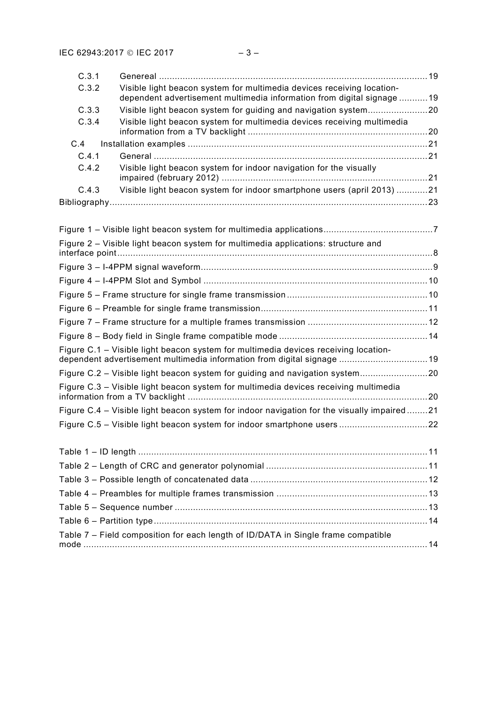| C.3.1 |                                                                                                                                                  |  |
|-------|--------------------------------------------------------------------------------------------------------------------------------------------------|--|
| C.3.2 | Visible light beacon system for multimedia devices receiving location-<br>dependent advertisement multimedia information from digital signage 19 |  |
| C.3.3 |                                                                                                                                                  |  |
| C.3.4 | Visible light beacon system for multimedia devices receiving multimedia                                                                          |  |
| C.4   |                                                                                                                                                  |  |
| C.4.1 |                                                                                                                                                  |  |
| C.4.2 | Visible light beacon system for indoor navigation for the visually                                                                               |  |
| C.4.3 | Visible light beacon system for indoor smartphone users (april 2013) 21                                                                          |  |
|       |                                                                                                                                                  |  |
|       |                                                                                                                                                  |  |
|       | Figure 2 – Visible light beacon system for multimedia applications: structure and                                                                |  |
|       |                                                                                                                                                  |  |

| Figure C.1 – Visible light beacon system for multimedia devices receiving location-<br>dependent advertisement multimedia information from digital signage  19 |  |
|----------------------------------------------------------------------------------------------------------------------------------------------------------------|--|
| Figure C.2 – Visible light beacon system for guiding and navigation system20                                                                                   |  |
| Figure C.3 - Visible light beacon system for multimedia devices receiving multimedia                                                                           |  |
| Figure C.4 – Visible light beacon system for indoor navigation for the visually impaired21                                                                     |  |
|                                                                                                                                                                |  |
|                                                                                                                                                                |  |

| Table 7 – Field composition for each length of ID/DATA in Single frame compatible |  |
|-----------------------------------------------------------------------------------|--|
|                                                                                   |  |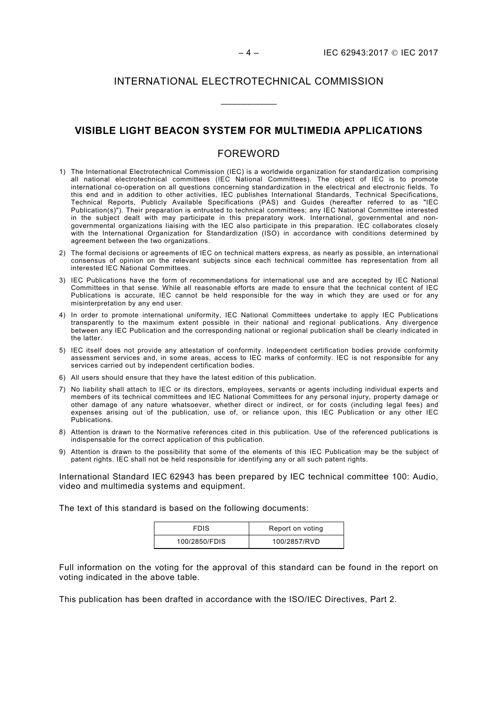## INTERNATIONAL ELECTROTECHNICAL COMMISSION

\_\_\_\_\_\_\_\_\_\_\_\_

## **VISIBLE LIGHT BEACON SYSTEM FOR MULTIMEDIA APPLICATIONS**

## FOREWORD

- <span id="page-3-0"></span>1) The International Electrotechnical Commission (IEC) is a worldwide organization for standardization comprising all national electrotechnical committees (IEC National Committees). The object of IEC is to promote international co-operation on all questions concerning standardization in the electrical and electronic fields. To this end and in addition to other activities, IEC publishes International Standards, Technical Specifications, Technical Reports, Publicly Available Specifications (PAS) and Guides (hereafter referred to as "IEC Publication(s)"). Their preparation is entrusted to technical committees; any IEC National Committee interested in the subject dealt with may participate in this preparatory work. International, governmental and nongovernmental organizations liaising with the IEC also participate in this preparation. IEC collaborates closely with the International Organization for Standardization (ISO) in accordance with conditions determined by agreement between the two organizations.
- 2) The formal decisions or agreements of IEC on technical matters express, as nearly as possible, an international consensus of opinion on the relevant subjects since each technical committee has representation from all interested IEC National Committees.
- 3) IEC Publications have the form of recommendations for international use and are accepted by IEC National Committees in that sense. While all reasonable efforts are made to ensure that the technical content of IEC Publications is accurate, IEC cannot be held responsible for the way in which they are used or for any misinterpretation by any end user.
- 4) In order to promote international uniformity, IEC National Committees undertake to apply IEC Publications transparently to the maximum extent possible in their national and regional publications. Any divergence between any IEC Publication and the corresponding national or regional publication shall be clearly indicated in the latter.
- 5) IEC itself does not provide any attestation of conformity. Independent certification bodies provide conformity assessment services and, in some areas, access to IEC marks of conformity. IEC is not responsible for any services carried out by independent certification bodies.
- 6) All users should ensure that they have the latest edition of this publication.
- 7) No liability shall attach to IEC or its directors, employees, servants or agents including individual experts and members of its technical committees and IEC National Committees for any personal injury, property damage or other damage of any nature whatsoever, whether direct or indirect, or for costs (including legal fees) and expenses arising out of the publication, use of, or reliance upon, this IEC Publication or any other IEC Publications.
- 8) Attention is drawn to the Normative references cited in this publication. Use of the referenced publications is indispensable for the correct application of this publication.
- 9) Attention is drawn to the possibility that some of the elements of this IEC Publication may be the subject of patent rights. IEC shall not be held responsible for identifying any or all such patent rights.

International Standard IEC 62943 has been prepared by IEC technical committee 100: Audio, video and multimedia systems and equipment.

The text of this standard is based on the following documents:

| <b>FDIS</b>   | Report on voting |
|---------------|------------------|
| 100/2850/FDIS | 100/2857/RVD     |

Full information on the voting for the approval of this standard can be found in the report on voting indicated in the above table.

This publication has been drafted in accordance with the ISO/IEC Directives, Part 2.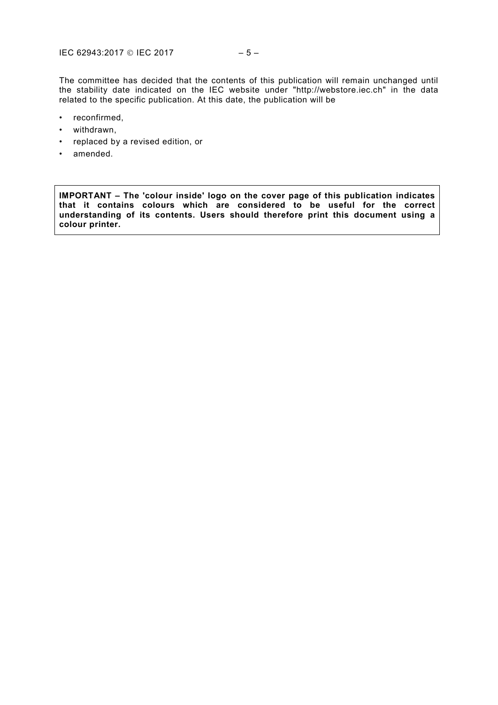The committee has decided that the contents of this publication will remain unchanged until the stability date indicated on the IEC website under "http://webstore.iec.ch" in the data related to the specific publication. At this date, the publication will be

- reconfirmed,
- withdrawn,
- replaced by a revised edition, or
- amended.

**IMPORTANT – The 'colour inside' logo on the cover page of this publication indicates that it contains colours which are considered to be useful for the correct understanding of its contents. Users should therefore print this document using a colour printer.**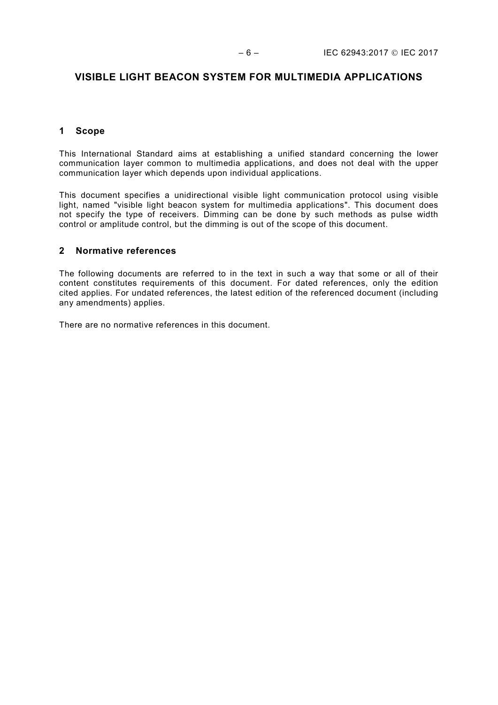## **VISIBLE LIGHT BEACON SYSTEM FOR MULTIMEDIA APPLICATIONS**

## <span id="page-5-0"></span>**1 Scope**

This International Standard aims at establishing a unified standard concerning the lower communication layer common to multimedia applications, and does not deal with the upper communication layer which depends upon individual applications.

This document specifies a unidirectional visible light communication protocol using visible light, named "visible light beacon system for multimedia applications". This document does not specify the type of receivers. Dimming can be done by such methods as pulse width control or amplitude control, but the dimming is out of the scope of this document.

#### <span id="page-5-1"></span>**2 Normative references**

The following documents are referred to in the text in such a way that some or all of their content constitutes requirements of this document. For dated references, only the edition cited applies. For undated references, the latest edition of the referenced document (including any amendments) applies.

<span id="page-5-2"></span>There are no normative references in this document.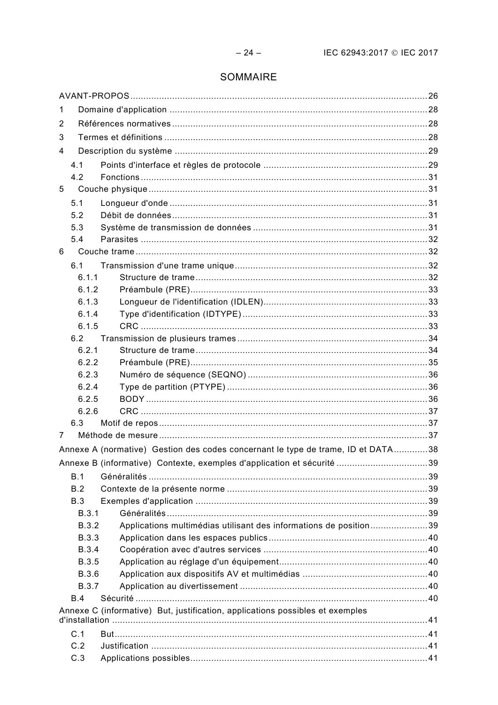# SOMMAIRE

| 1              |              |                                                                                  |  |
|----------------|--------------|----------------------------------------------------------------------------------|--|
| 2              |              |                                                                                  |  |
| 3              |              |                                                                                  |  |
| 4              |              |                                                                                  |  |
|                | 4.1          |                                                                                  |  |
|                | 4.2          |                                                                                  |  |
| 5              |              |                                                                                  |  |
|                | 5.1          |                                                                                  |  |
|                | 5.2          |                                                                                  |  |
|                | 5.3          |                                                                                  |  |
|                | 5.4          |                                                                                  |  |
| 6              |              |                                                                                  |  |
|                | 6.1          |                                                                                  |  |
|                | 6.1.1        |                                                                                  |  |
|                | 6.1.2        |                                                                                  |  |
|                | 6.1.3        |                                                                                  |  |
|                | 6.1.4        |                                                                                  |  |
|                | 6.1.5        |                                                                                  |  |
|                | 6.2          |                                                                                  |  |
|                | 6.2.1        |                                                                                  |  |
|                | 6.2.2        |                                                                                  |  |
|                | 6.2.3        |                                                                                  |  |
|                | 6.2.4        |                                                                                  |  |
|                | 6.2.5        |                                                                                  |  |
|                | 6.2.6        |                                                                                  |  |
|                | 6.3          |                                                                                  |  |
| $\overline{7}$ |              |                                                                                  |  |
|                |              | Annexe A (normative) Gestion des codes concernant le type de trame, ID et DATA38 |  |
|                |              | Annexe B (informative) Contexte, exemples d'application et sécurité 39           |  |
|                | B.1          |                                                                                  |  |
|                | B.2          |                                                                                  |  |
|                | B.3          |                                                                                  |  |
|                | B.3.1        |                                                                                  |  |
|                | <b>B.3.2</b> | Applications multimédias utilisant des informations de position39                |  |
|                | <b>B.3.3</b> |                                                                                  |  |
|                | <b>B.3.4</b> |                                                                                  |  |
|                | <b>B.3.5</b> |                                                                                  |  |
|                | <b>B.3.6</b> |                                                                                  |  |
|                | <b>B.3.7</b> |                                                                                  |  |
|                | B.4          |                                                                                  |  |
|                |              | Annexe C (informative) But, justification, applications possibles et exemples    |  |
|                | C.1          |                                                                                  |  |
|                | C.2          |                                                                                  |  |
|                | C.3          |                                                                                  |  |
|                |              |                                                                                  |  |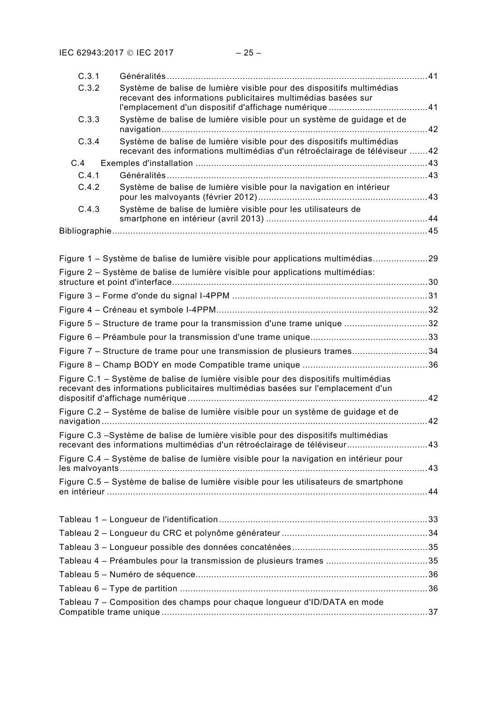IEC 62943:2017 © IEC 2017 – 25 –

| C.3.1 |                                                                                                                                                                |  |
|-------|----------------------------------------------------------------------------------------------------------------------------------------------------------------|--|
| C.3.2 | Système de balise de lumière visible pour des dispositifs multimédias<br>recevant des informations publicitaires multimédias basées sur                        |  |
| C.3.3 | Système de balise de lumière visible pour un système de guidage et de                                                                                          |  |
|       |                                                                                                                                                                |  |
| C.3.4 | Système de balise de lumière visible pour des dispositifs multimédias<br>recevant des informations multimédias d'un rétroéclairage de téléviseur 42            |  |
| C.4   |                                                                                                                                                                |  |
| C.4.1 |                                                                                                                                                                |  |
| C.4.2 | Système de balise de lumière visible pour la navigation en intérieur                                                                                           |  |
| C.4.3 | Système de balise de lumière visible pour les utilisateurs de                                                                                                  |  |
|       |                                                                                                                                                                |  |
|       | Figure 1 – Système de balise de lumière visible pour applications multimédias29                                                                                |  |
|       | Figure 2 - Système de balise de lumière visible pour applications multimédias:                                                                                 |  |
|       |                                                                                                                                                                |  |
|       |                                                                                                                                                                |  |
|       | Figure 5 - Structure de trame pour la transmission d'une trame unique 32                                                                                       |  |
|       |                                                                                                                                                                |  |
|       | Figure 7 - Structure de trame pour une transmission de plusieurs trames34                                                                                      |  |
|       |                                                                                                                                                                |  |
|       | Figure C.1 – Système de balise de lumière visible pour des dispositifs multimédias                                                                             |  |
|       | recevant des informations publicitaires multimédias basées sur l'emplacement d'un                                                                              |  |
|       | Figure C.2 – Système de balise de lumière visible pour un système de guidage et de                                                                             |  |
|       |                                                                                                                                                                |  |
|       | Figure C.3 -Système de balise de lumière visible pour des dispositifs multimédias<br>recevant des informations multimédias d'un rétroéclairage de téléviseur43 |  |
|       | Figure C.4 - Système de balise de lumière visible pour la navigation en intérieur pour                                                                         |  |
|       | Figure C.5 - Système de balise de lumière visible pour les utilisateurs de smartphone                                                                          |  |
|       |                                                                                                                                                                |  |
|       |                                                                                                                                                                |  |
|       |                                                                                                                                                                |  |
|       |                                                                                                                                                                |  |
|       |                                                                                                                                                                |  |
|       |                                                                                                                                                                |  |
|       | Tableau 7 - Composition des champs pour chaque longueur d'ID/DATA en mode                                                                                      |  |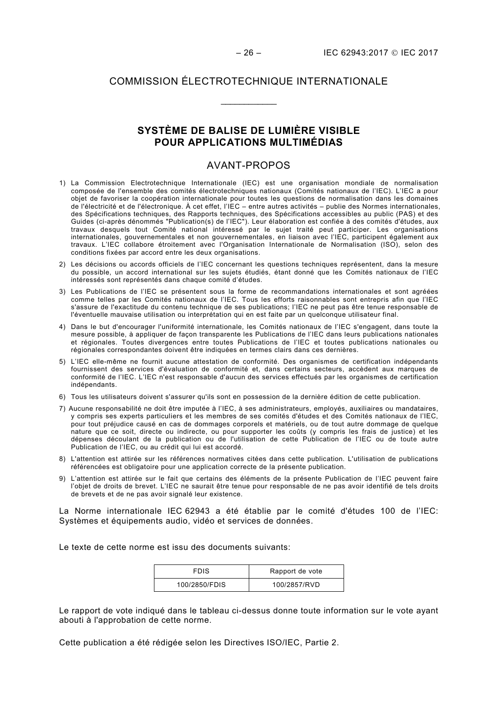## COMMISSION ÉLECTROTECHNIQUE INTERNATIONALE

\_\_\_\_\_\_\_\_\_\_\_\_

## **SYSTÈME DE BALISE DE LUMIÈRE VISIBLE POUR APPLICATIONS MULTIMÉDIAS**

#### AVANT-PROPOS

- <span id="page-8-0"></span>1) La Commission Electrotechnique Internationale (IEC) est une organisation mondiale de normalisation composée de l'ensemble des comités électrotechniques nationaux (Comités nationaux de l'IEC). L'IEC a pour objet de favoriser la coopération internationale pour toutes les questions de normalisation dans les domaines de l'électricité et de l'électronique. À cet effet, l'IEC – entre autres activités – publie des Normes internationales, des Spécifications techniques, des Rapports techniques, des Spécifications accessibles au public (PAS) et des Guides (ci-après dénommés "Publication(s) de l'IEC"). Leur élaboration est confiée à des comités d'études, aux travaux desquels tout Comité national intéressé par le sujet traité peut participer. Les organisations internationales, gouvernementales et non gouvernementales, en liaison avec l'IEC, participent également aux travaux. L'IEC collabore étroitement avec l'Organisation Internationale de Normalisation (ISO), selon des conditions fixées par accord entre les deux organisations.
- 2) Les décisions ou accords officiels de l'IEC concernant les questions techniques représentent, dans la mesure du possible, un accord international sur les sujets étudiés, étant donné que les Comités nationaux de l'IEC intéressés sont représentés dans chaque comité d'études.
- 3) Les Publications de l'IEC se présentent sous la forme de recommandations internationales et sont agréées comme telles par les Comités nationaux de l'IEC. Tous les efforts raisonnables sont entrepris afin que l'IEC s'assure de l'exactitude du contenu technique de ses publications; l'IEC ne peut pas être tenue responsable de l'éventuelle mauvaise utilisation ou interprétation qui en est faite par un quelconque utilisateur final.
- 4) Dans le but d'encourager l'uniformité internationale, les Comités nationaux de l'IEC s'engagent, dans toute la mesure possible, à appliquer de façon transparente les Publications de l'IEC dans leurs publications nationales et régionales. Toutes divergences entre toutes Publications de l'IEC et toutes publications nationales ou régionales correspondantes doivent être indiquées en termes clairs dans ces dernières.
- 5) L'IEC elle-même ne fournit aucune attestation de conformité. Des organismes de certification indépendants fournissent des services d'évaluation de conformité et, dans certains secteurs, accèdent aux marques de conformité de l'IEC. L'IEC n'est responsable d'aucun des services effectués par les organismes de certification indépendants.
- 6) Tous les utilisateurs doivent s'assurer qu'ils sont en possession de la dernière édition de cette publication.
- 7) Aucune responsabilité ne doit être imputée à l'IEC, à ses administrateurs, employés, auxiliaires ou mandataires, y compris ses experts particuliers et les membres de ses comités d'études et des Comités nationaux de l'IEC, pour tout préjudice causé en cas de dommages corporels et matériels, ou de tout autre dommage de quelque nature que ce soit, directe ou indirecte, ou pour supporter les coûts (y compris les frais de justice) et les dépenses découlant de la publication ou de l'utilisation de cette Publication de l'IEC ou de toute autre Publication de l'IEC, ou au crédit qui lui est accordé.
- 8) L'attention est attirée sur les références normatives citées dans cette publication. L'utilisation de publications référencées est obligatoire pour une application correcte de la présente publication.
- 9) L'attention est attirée sur le fait que certains des éléments de la présente Publication de l'IEC peuvent faire l'objet de droits de brevet. L'IEC ne saurait être tenue pour responsable de ne pas avoir identifié de tels droits de brevets et de ne pas avoir signalé leur existence.

La Norme internationale IEC 62943 a été établie par le comité d'études 100 de l'IEC: Systèmes et équipements audio, vidéo et services de données.

Le texte de cette norme est issu des documents suivants:

| <b>FDIS</b>   | Rapport de vote |
|---------------|-----------------|
| 100/2850/FDIS | 100/2857/RVD    |

Le rapport de vote indiqué dans le tableau ci-dessus donne toute information sur le vote ayant abouti à l'approbation de cette norme.

Cette publication a été rédigée selon les Directives ISO/IEC, Partie 2.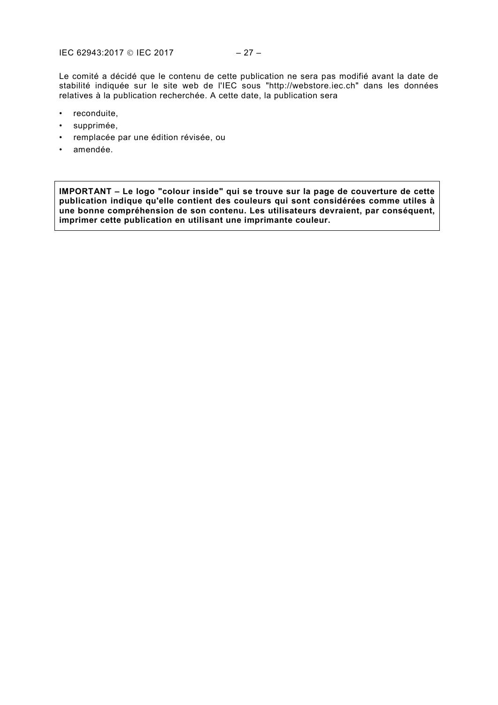Le comité a décidé que le contenu de cette publication ne sera pas modifié avant la date de stabilité indiquée sur le site web de l'IEC sous "http://webstore.iec.ch" dans les données relatives à la publication recherchée. A cette date, la publication sera

- reconduite,
- supprimée,
- remplacée par une édition révisée, ou
- amendée.

**IMPORTANT – Le logo "colour inside" qui se trouve sur la page de couverture de cette publication indique qu'elle contient des couleurs qui sont considérées comme utiles à une bonne compréhension de son contenu. Les utilisateurs devraient, par conséquent, imprimer cette publication en utilisant une imprimante couleur.**